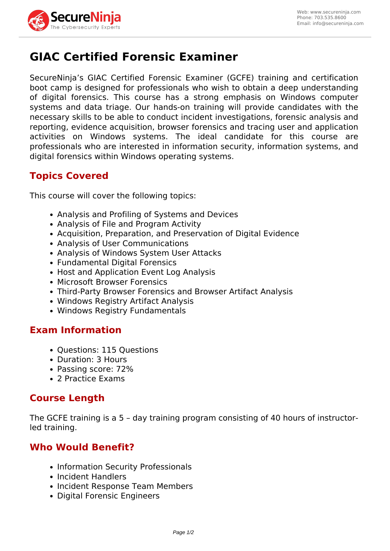

# **GIAC Certified Forensic Examiner**

SecureNinja's GIAC Certified Forensic Examiner (GCFE) training and certification boot camp is designed for professionals who wish to obtain a deep understanding of digital forensics. This course has a strong emphasis on Windows computer systems and data triage. Our hands-on training will provide candidates with the necessary skills to be able to conduct incident investigations, forensic analysis and reporting, evidence acquisition, browser forensics and tracing user and application activities on Windows systems. The ideal candidate for this course are professionals who are interested in information security, information systems, and digital forensics within Windows operating systems.

# **Topics Covered**

This course will cover the following topics:

- Analysis and Profiling of Systems and Devices
- Analysis of File and Program Activity
- Acquisition, Preparation, and Preservation of Digital Evidence
- Analysis of User Communications
- Analysis of Windows System User Attacks
- Fundamental Digital Forensics
- Host and Application Event Log Analysis
- Microsoft Browser Forensics
- Third-Party Browser Forensics and Browser Artifact Analysis
- Windows Registry Artifact Analysis
- Windows Registry Fundamentals

### **Exam Information**

- Questions: 115 Questions
- Duration: 3 Hours
- Passing score: 72%
- 2 Practice Exams

### **Course Length**

The GCFE training is a 5 – day training program consisting of 40 hours of instructorled training.

# **Who Would Benefit?**

- Information Security Professionals
- Incident Handlers
- Incident Response Team Members
- Digital Forensic Engineers